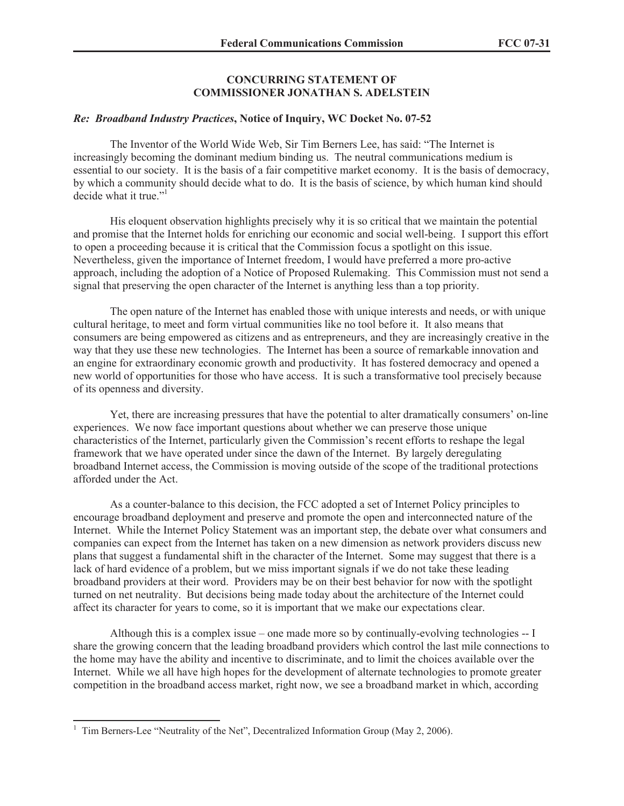## **CONCURRING STATEMENT OF COMMISSIONER JONATHAN S. ADELSTEIN**

## *Re: Broadband Industry Practices***, Notice of Inquiry, WC Docket No. 07-52**

The Inventor of the World Wide Web, Sir Tim Berners Lee, has said: "The Internet is increasingly becoming the dominant medium binding us. The neutral communications medium is essential to our society. It is the basis of a fair competitive market economy. It is the basis of democracy, by which a community should decide what to do. It is the basis of science, by which human kind should decide what it true."<sup>1</sup>

His eloquent observation highlights precisely why it is so critical that we maintain the potential and promise that the Internet holds for enriching our economic and social well-being. I support this effort to open a proceeding because it is critical that the Commission focus a spotlight on this issue. Nevertheless, given the importance of Internet freedom, I would have preferred a more pro-active approach, including the adoption of a Notice of Proposed Rulemaking. This Commission must not send a signal that preserving the open character of the Internet is anything less than a top priority.

The open nature of the Internet has enabled those with unique interests and needs, or with unique cultural heritage, to meet and form virtual communities like no tool before it. It also means that consumers are being empowered as citizens and as entrepreneurs, and they are increasingly creative in the way that they use these new technologies. The Internet has been a source of remarkable innovation and an engine for extraordinary economic growth and productivity. It has fostered democracy and opened a new world of opportunities for those who have access. It is such a transformative tool precisely because of its openness and diversity.

Yet, there are increasing pressures that have the potential to alter dramatically consumers' on-line experiences. We now face important questions about whether we can preserve those unique characteristics of the Internet, particularly given the Commission's recent efforts to reshape the legal framework that we have operated under since the dawn of the Internet. By largely deregulating broadband Internet access, the Commission is moving outside of the scope of the traditional protections afforded under the Act.

As a counter-balance to this decision, the FCC adopted a set of Internet Policy principles to encourage broadband deployment and preserve and promote the open and interconnected nature of the Internet. While the Internet Policy Statement was an important step, the debate over what consumers and companies can expect from the Internet has taken on a new dimension as network providers discuss new plans that suggest a fundamental shift in the character of the Internet. Some may suggest that there is a lack of hard evidence of a problem, but we miss important signals if we do not take these leading broadband providers at their word. Providers may be on their best behavior for now with the spotlight turned on net neutrality. But decisions being made today about the architecture of the Internet could affect its character for years to come, so it is important that we make our expectations clear.

Although this is a complex issue – one made more so by continually-evolving technologies -- I share the growing concern that the leading broadband providers which control the last mile connections to the home may have the ability and incentive to discriminate, and to limit the choices available over the Internet. While we all have high hopes for the development of alternate technologies to promote greater competition in the broadband access market, right now, we see a broadband market in which, according

<sup>&</sup>lt;sup>1</sup> Tim Berners-Lee "Neutrality of the Net", Decentralized Information Group (May 2, 2006).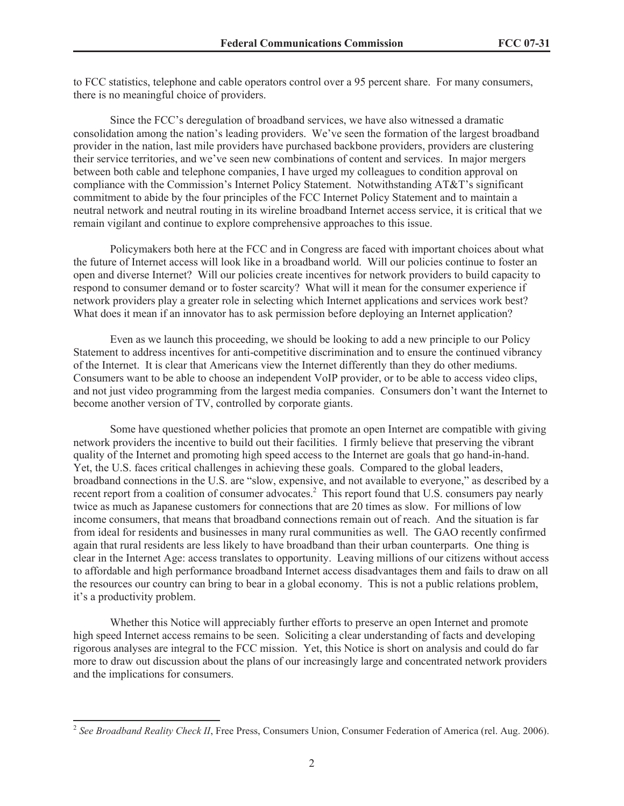to FCC statistics, telephone and cable operators control over a 95 percent share. For many consumers, there is no meaningful choice of providers.

Since the FCC's deregulation of broadband services, we have also witnessed a dramatic consolidation among the nation's leading providers. We've seen the formation of the largest broadband provider in the nation, last mile providers have purchased backbone providers, providers are clustering their service territories, and we've seen new combinations of content and services. In major mergers between both cable and telephone companies, I have urged my colleagues to condition approval on compliance with the Commission's Internet Policy Statement. Notwithstanding AT&T's significant commitment to abide by the four principles of the FCC Internet Policy Statement and to maintain a neutral network and neutral routing in its wireline broadband Internet access service, it is critical that we remain vigilant and continue to explore comprehensive approaches to this issue.

Policymakers both here at the FCC and in Congress are faced with important choices about what the future of Internet access will look like in a broadband world. Will our policies continue to foster an open and diverse Internet? Will our policies create incentives for network providers to build capacity to respond to consumer demand or to foster scarcity? What will it mean for the consumer experience if network providers play a greater role in selecting which Internet applications and services work best? What does it mean if an innovator has to ask permission before deploying an Internet application?

Even as we launch this proceeding, we should be looking to add a new principle to our Policy Statement to address incentives for anti-competitive discrimination and to ensure the continued vibrancy of the Internet. It is clear that Americans view the Internet differently than they do other mediums. Consumers want to be able to choose an independent VoIP provider, or to be able to access video clips, and not just video programming from the largest media companies. Consumers don't want the Internet to become another version of TV, controlled by corporate giants.

Some have questioned whether policies that promote an open Internet are compatible with giving network providers the incentive to build out their facilities. I firmly believe that preserving the vibrant quality of the Internet and promoting high speed access to the Internet are goals that go hand-in-hand. Yet, the U.S. faces critical challenges in achieving these goals. Compared to the global leaders, broadband connections in the U.S. are "slow, expensive, and not available to everyone," as described by a recent report from a coalition of consumer advocates.<sup>2</sup> This report found that U.S. consumers pay nearly twice as much as Japanese customers for connections that are 20 times as slow. For millions of low income consumers, that means that broadband connections remain out of reach. And the situation is far from ideal for residents and businesses in many rural communities as well. The GAO recently confirmed again that rural residents are less likely to have broadband than their urban counterparts. One thing is clear in the Internet Age: access translates to opportunity. Leaving millions of our citizens without access to affordable and high performance broadband Internet access disadvantages them and fails to draw on all the resources our country can bring to bear in a global economy. This is not a public relations problem, it's a productivity problem.

Whether this Notice will appreciably further efforts to preserve an open Internet and promote high speed Internet access remains to be seen. Soliciting a clear understanding of facts and developing rigorous analyses are integral to the FCC mission. Yet, this Notice is short on analysis and could do far more to draw out discussion about the plans of our increasingly large and concentrated network providers and the implications for consumers.

<sup>&</sup>lt;sup>2</sup> See Broadband Reality Check II, Free Press, Consumers Union, Consumer Federation of America (rel. Aug. 2006).